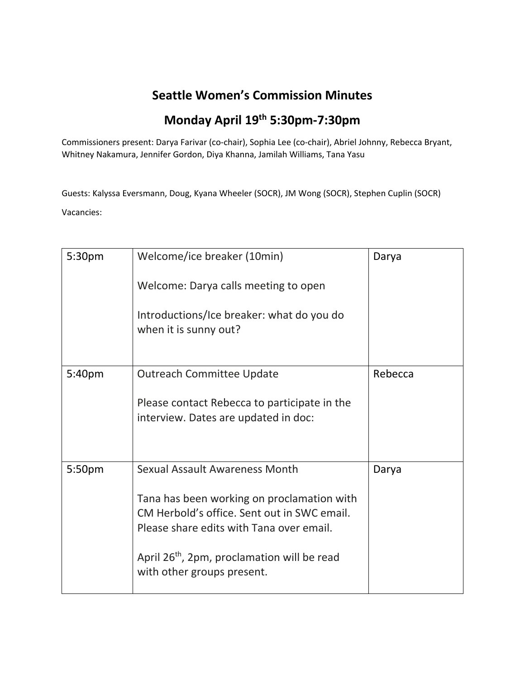## **Seattle Women's Commission Minutes**

## **Monday April 19th 5:30pm-7:30pm**

Commissioners present: Darya Farivar (co-chair), Sophia Lee (co-chair), Abriel Johnny, Rebecca Bryant, Whitney Nakamura, Jennifer Gordon, Diya Khanna, Jamilah Williams, Tana Yasu

Guests: Kalyssa Eversmann, Doug, Kyana Wheeler (SOCR), JM Wong (SOCR), Stephen Cuplin (SOCR) Vacancies:

| 5:30pm | Welcome/ice breaker (10min)                                                                                                           | Darya   |
|--------|---------------------------------------------------------------------------------------------------------------------------------------|---------|
|        | Welcome: Darya calls meeting to open                                                                                                  |         |
|        | Introductions/Ice breaker: what do you do<br>when it is sunny out?                                                                    |         |
| 5:40pm | <b>Outreach Committee Update</b>                                                                                                      | Rebecca |
|        | Please contact Rebecca to participate in the<br>interview. Dates are updated in doc:                                                  |         |
| 5:50pm | <b>Sexual Assault Awareness Month</b>                                                                                                 | Darya   |
|        | Tana has been working on proclamation with<br>CM Herbold's office. Sent out in SWC email.<br>Please share edits with Tana over email. |         |
|        | April 26 <sup>th</sup> , 2pm, proclamation will be read<br>with other groups present.                                                 |         |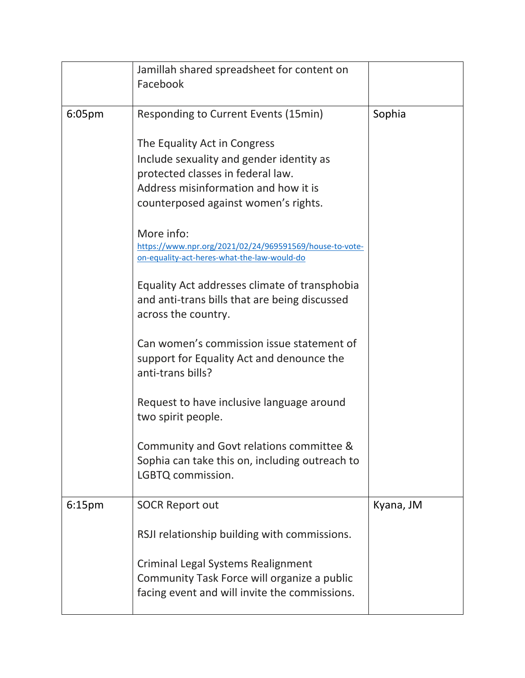|                    | Jamillah shared spreadsheet for content on<br>Facebook                                                                                                                                        |           |
|--------------------|-----------------------------------------------------------------------------------------------------------------------------------------------------------------------------------------------|-----------|
| 6:05 <sub>pm</sub> | Responding to Current Events (15min)                                                                                                                                                          | Sophia    |
|                    | The Equality Act in Congress<br>Include sexuality and gender identity as<br>protected classes in federal law.<br>Address misinformation and how it is<br>counterposed against women's rights. |           |
|                    | More info:<br>https://www.npr.org/2021/02/24/969591569/house-to-vote-<br>on-equality-act-heres-what-the-law-would-do                                                                          |           |
|                    | Equality Act addresses climate of transphobia<br>and anti-trans bills that are being discussed<br>across the country.                                                                         |           |
|                    | Can women's commission issue statement of<br>support for Equality Act and denounce the<br>anti-trans bills?                                                                                   |           |
|                    | Request to have inclusive language around<br>two spirit people.                                                                                                                               |           |
|                    | Community and Govt relations committee &<br>Sophia can take this on, including outreach to<br>LGBTQ commission.                                                                               |           |
| 6:15pm             | <b>SOCR Report out</b>                                                                                                                                                                        | Kyana, JM |
|                    | RSJI relationship building with commissions.                                                                                                                                                  |           |
|                    | Criminal Legal Systems Realignment<br>Community Task Force will organize a public<br>facing event and will invite the commissions.                                                            |           |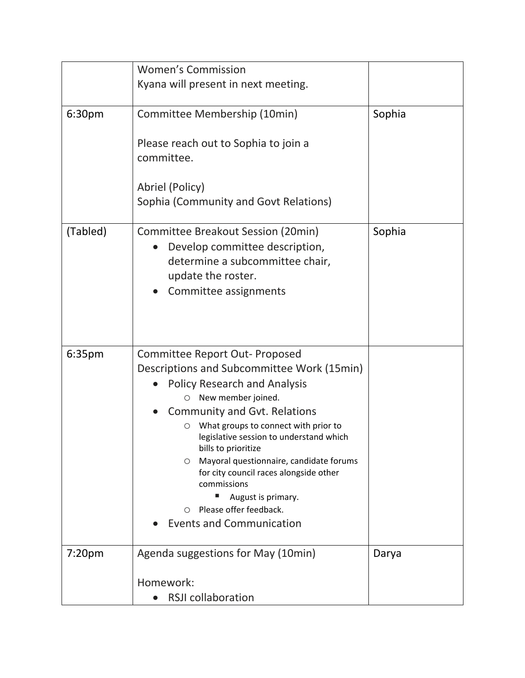|                    | <b>Women's Commission</b>                                                                                                                                                                                                                                                                                                                                                                                                                                                                      |        |
|--------------------|------------------------------------------------------------------------------------------------------------------------------------------------------------------------------------------------------------------------------------------------------------------------------------------------------------------------------------------------------------------------------------------------------------------------------------------------------------------------------------------------|--------|
|                    | Kyana will present in next meeting.                                                                                                                                                                                                                                                                                                                                                                                                                                                            |        |
| 6:30pm             | Committee Membership (10min)<br>Please reach out to Sophia to join a<br>committee.                                                                                                                                                                                                                                                                                                                                                                                                             | Sophia |
|                    | Abriel (Policy)<br>Sophia (Community and Govt Relations)                                                                                                                                                                                                                                                                                                                                                                                                                                       |        |
| (Tabled)           | Committee Breakout Session (20min)<br>Develop committee description,<br>determine a subcommittee chair,<br>update the roster.<br>Committee assignments                                                                                                                                                                                                                                                                                                                                         | Sophia |
| 6:35pm             | Committee Report Out- Proposed<br>Descriptions and Subcommittee Work (15min)<br><b>Policy Research and Analysis</b><br>New member joined.<br>O<br>Community and Gvt. Relations<br>What groups to connect with prior to<br>О<br>legislative session to understand which<br>bills to prioritize<br>Mayoral questionnaire, candidate forums<br>O<br>for city council races alongside other<br>commissions<br>August is primary.<br>Please offer feedback.<br>∩<br><b>Events and Communication</b> |        |
| 7:20 <sub>pm</sub> | Agenda suggestions for May (10min)                                                                                                                                                                                                                                                                                                                                                                                                                                                             | Darya  |
|                    | Homework:<br><b>RSJI collaboration</b>                                                                                                                                                                                                                                                                                                                                                                                                                                                         |        |